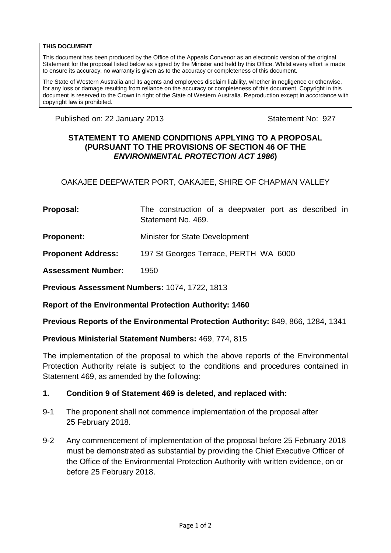#### **THIS DOCUMENT**

This document has been produced by the Office of the Appeals Convenor as an electronic version of the original Statement for the proposal listed below as signed by the Minister and held by this Office. Whilst every effort is made to ensure its accuracy, no warranty is given as to the accuracy or completeness of this document.

The State of Western Australia and its agents and employees disclaim liability, whether in negligence or otherwise, for any loss or damage resulting from reliance on the accuracy or completeness of this document. Copyright in this document is reserved to the Crown in right of the State of Western Australia. Reproduction except in accordance with copyright law is prohibited.

Published on: 22 January 2013 **Statement No: 927** Statement No: 927

### **STATEMENT TO AMEND CONDITIONS APPLYING TO A PROPOSAL (PURSUANT TO THE PROVISIONS OF SECTION 46 OF THE**  *ENVIRONMENTAL PROTECTION ACT 1986***)**

OAKAJEE DEEPWATER PORT, OAKAJEE, SHIRE OF CHAPMAN VALLEY

**Proposal:** The construction of a deepwater port as described in Statement No. 469.

**Proponent:** Minister for State Development

**Proponent Address:** 197 St Georges Terrace, PERTH WA 6000

**Assessment Number:** 1950

**Previous Assessment Numbers:** 1074, 1722, 1813

**Report of the Environmental Protection Authority: 1460**

**Previous Reports of the Environmental Protection Authority:** 849, 866, 1284, 1341

#### **Previous Ministerial Statement Numbers:** 469, 774, 815

The implementation of the proposal to which the above reports of the Environmental Protection Authority relate is subject to the conditions and procedures contained in Statement 469, as amended by the following:

### **1. Condition 9 of Statement 469 is deleted, and replaced with:**

- 9-1 The proponent shall not commence implementation of the proposal after 25 February 2018.
- 9-2 Any commencement of implementation of the proposal before 25 February 2018 must be demonstrated as substantial by providing the Chief Executive Officer of the Office of the Environmental Protection Authority with written evidence, on or before 25 February 2018.